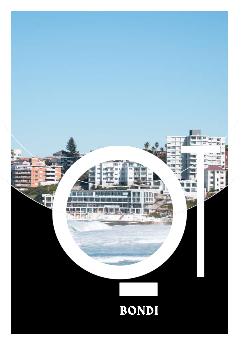